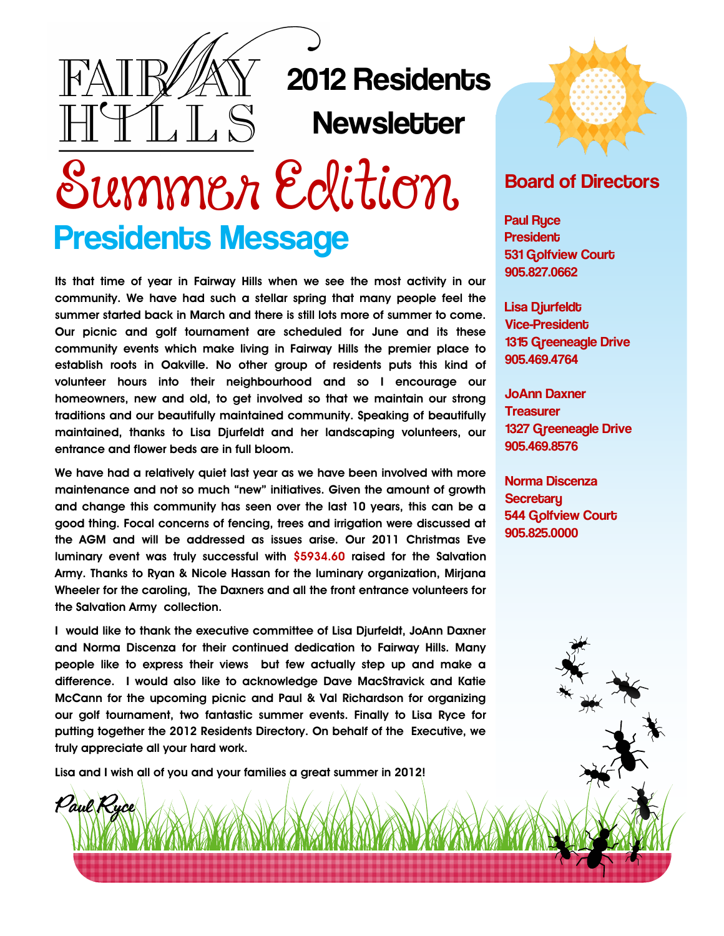

# 2012 Residents **Newsletter**

Summer Edition Presidents Message

**Its that time of year in Fairway Hills when we see the most activity in our community. We have had such a stellar spring that many people feel the summer started back in March and there is still lots more of summer to come. Our picnic and golf tournament are scheduled for June and its these community events which make living in Fairway Hills the premier place to establish roots in Oakville. No other group of residents puts this kind of volunteer hours into their neighbourhood and so I encourage our homeowners, new and old, to get involved so that we maintain our strong traditions and our beautifully maintained community. Speaking of beautifully maintained, thanks to Lisa Djurfeldt and her landscaping volunteers, our entrance and flower beds are in full bloom.** 

**We have had a relatively quiet last year as we have been involved with more maintenance and not so much "new" initiatives. Given the amount of growth and change this community has seen over the last 10 years, this can be a good thing. Focal concerns of fencing, trees and irrigation were discussed at the AGM and will be addressed as issues arise. Our 2011 Christmas Eve luminary event was truly successful with \$5934.60 raised for the Salvation Army. Thanks to Ryan & Nicole Hassan for the luminary organization, Mirjana Wheeler for the caroling, The Daxners and all the front entrance volunteers for the Salvation Army collection.**

**I would like to thank the executive committee of Lisa Djurfeldt, JoAnn Daxner and Norma Discenza for their continued dedication to Fairway Hills. Many people like to express their views but few actually step up and make a difference. I would also like to acknowledge Dave MacStravick and Katie McCann for the upcoming picnic and Paul & Val Richardson for organizing our golf tournament, two fantastic summer events. Finally to Lisa Ryce for putting together the 2012 Residents Directory. On behalf of the Executive, we truly appreciate all your hard work.**

**Lisa and I wish all of you and your families a great summer in 2012!**

Paul Ryce



#### Board of Directors

Paul Ryce **President** 531 Golfview Court 905.827.0662

Lisa Djurfeldt Vice-President 1315 Greeneagle Drive 905.469.4764

JoAnn Daxner **Treasurer** 1327 Greeneagle Drive 905.469.8576

Norma Discenza **Secretary** 544 Golfview Court 905.825.0000

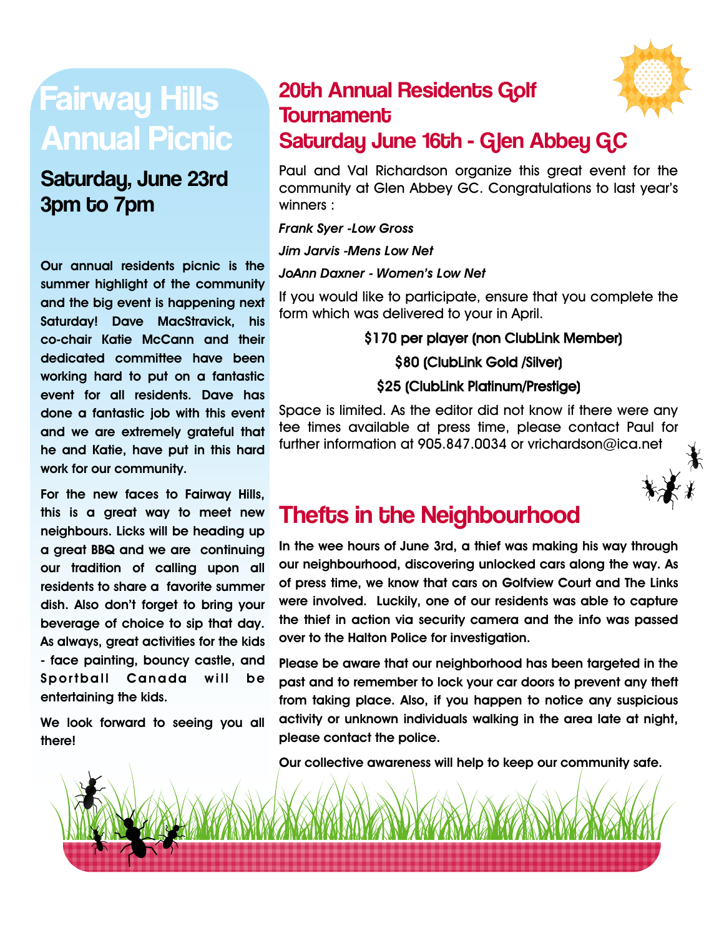# Fairway Hills Annual Picnic

### Saturday, June 23rd 3pm to 7pm

**Our annual residents picnic is the summer highlight of the community and the big event is happening next Saturday! Dave MacStravick, his co-chair Katie McCann and their dedicated committee have been working hard to put on a fantastic event for all residents. Dave has done a fantastic job with this event and we are extremely grateful that he and Katie, have put in this hard work for our community.**

**For the new faces to Fairway Hills, this is a great way to meet new neighbours. Licks will be heading up a great BBQ and we are continuing our tradition of calling upon all residents to share a favorite summer dish. Also don't forget to bring your beverage of choice to sip that day. As always, great activities for the kids - face painting, bouncy castle, and Sportball Canada will be entertaining the kids.** 

**We look forward to seeing you all there!** 

#### 20th Annual Residents Golf **Tournament** Saturday June 16th - Glen Abbey GC

Paul and Val Richardson organize this great event for the community at Glen Abbey GC. Congratulations to last year's winners :

*Frank Syer -Low Gross*

*Jim Jarvis -Mens Low Net*

#### *JoAnn Daxner - Women's Low Net*

If you would like to participate, ensure that you complete the form which was delivered to your in April.

#### \$170 per player (non ClubLink Member) \$80 (ClubLink Gold /Silver) \$25 (ClubLink Platinum/Prestige)

Space is limited. As the editor did not know if there were any tee times available at press time, please contact Paul for further information at 905.847.0034 or vrichardson@ica.net



# Thefts in the Neighbourhood

**In the wee hours of June 3rd, a thief was making his way through our neighbourhood, discovering unlocked cars along the way. As of press time, we know that cars on Golfview Court and The Links were involved. Luckily, one of our residents was able to capture the thief in action via security camera and the info was passed over to the Halton Police for investigation.** 

**Please be aware that our neighborhood has been targeted in the past and to remember to lock your car doors to prevent any theft from taking place. Also, if you happen to notice any suspicious activity or unknown individuals walking in the area late at night, please contact the police.** 

**Our collective awareness will help to keep our community safe.**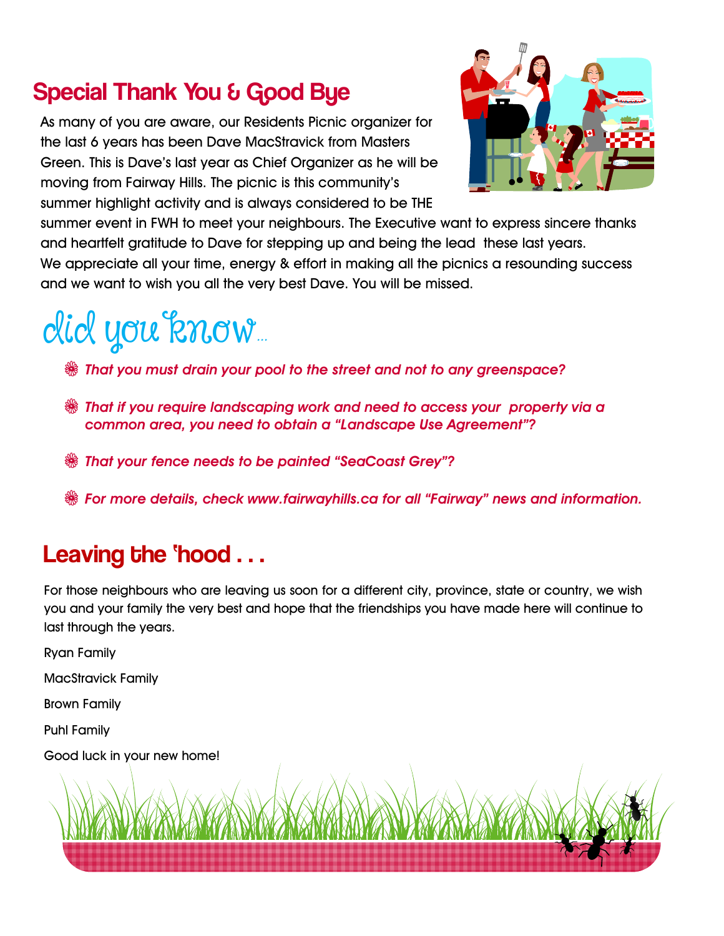# Special Thank You & Good Bye

As many of you are aware, our Residents Picnic organizer for the last 6 years has been Dave MacStravick from Masters Green. This is Dave's last year as Chief Organizer as he will be moving from Fairway Hills. The picnic is this community's summer highlight activity and is always considered to be THE



summer event in FWH to meet your neighbours. The Executive want to express sincere thanks and heartfelt gratitude to Dave for stepping up and being the lead these last years. We appreciate all your time, energy & effort in making all the picnics a resounding success and we want to wish you all the very best Dave. You will be missed.

# did you know...

V *That you must drain your pool to the street and not to any greenspace?* 

- V *That if you require landscaping work and need to access your property via a common area, you need to obtain a "Landscape Use Agreement"?*
- V *That your fence needs to be painted "SeaCoast Grey"?*
- V *For more details, check www.fairwayhills.ca for all "Fairway" news and information.*

### Leaving the 'hood . . .

For those neighbours who are leaving us soon for a different city, province, state or country, we wish you and your family the very best and hope that the friendships you have made here will continue to last through the years.

Ryan Family MacStravick Family Brown Family Puhl Family Good luck in your new home!